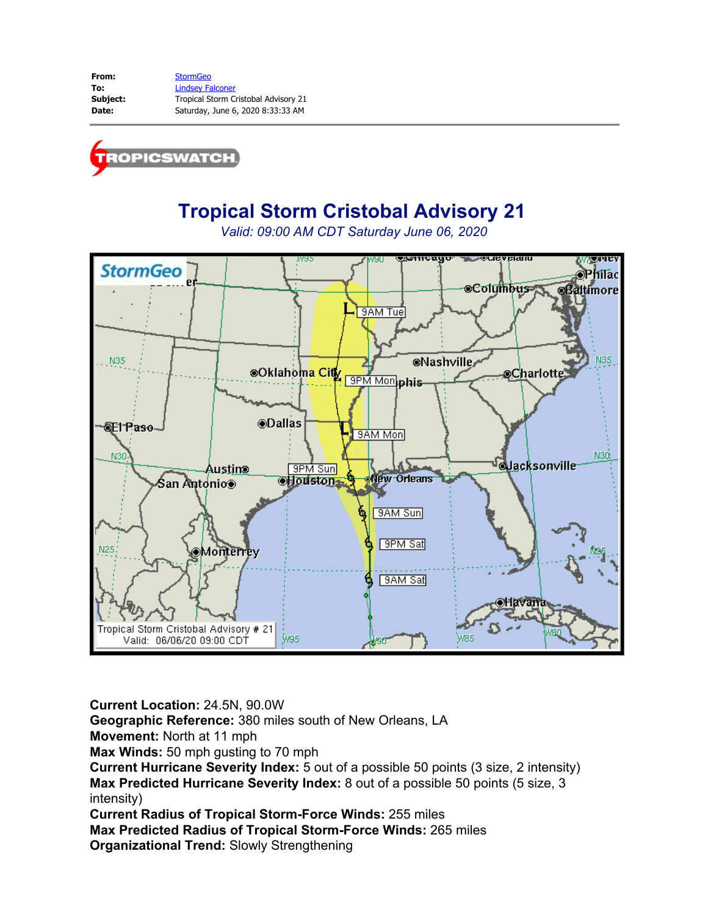

# **Tropical Storm Cristobal Advisory 21**

*Valid: 09:00 AM CDT Saturday June 06, 2020*



**Current Location:** 24.5N, 90.0W

**Geographic Reference:** 380 miles south of New Orleans, LA

**Movement:** North at 11 mph

**Max Winds:** 50 mph gusting to 70 mph

**Current Hurricane Severity Index:** 5 out of a possible 50 points (3 size, 2 intensity) **Max Predicted Hurricane Severity Index:** 8 out of a possible 50 points (5 size, 3 intensity)

**Current Radius of Tropical Storm-Force Winds:** 255 miles

**Max Predicted Radius of Tropical Storm-Force Winds:** 265 miles **Organizational Trend:** Slowly Strengthening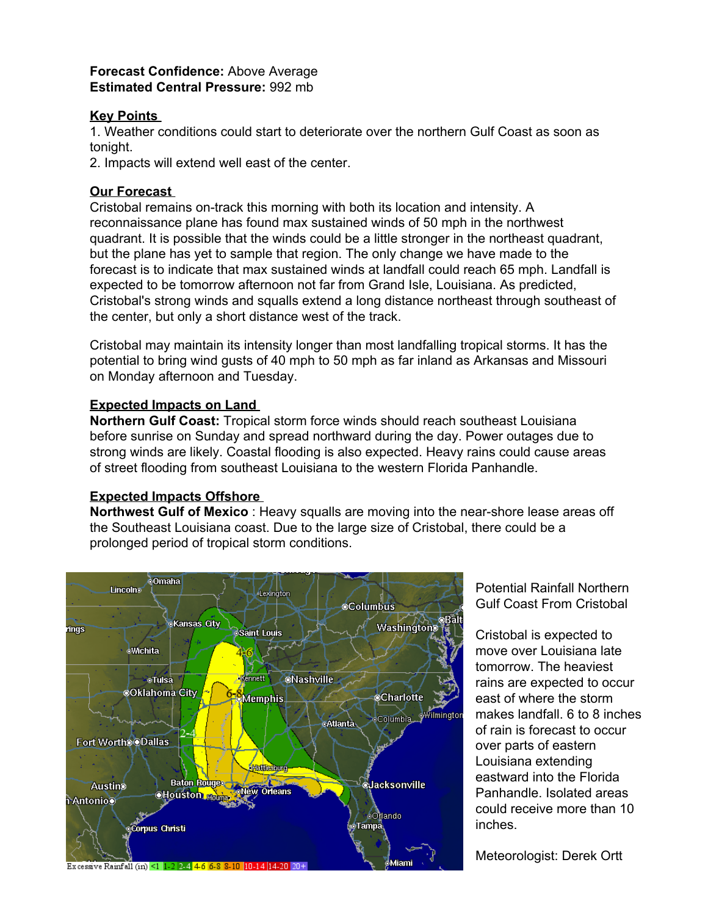#### **Forecast Confidence:** Above Average **Estimated Central Pressure:** 992 mb

#### **Key Points**

1. Weather conditions could start to deteriorate over the northern Gulf Coast as soon as tonight.

2. Impacts will extend well east of the center.

### **Our Forecast**

Cristobal remains on-track this morning with both its location and intensity. A reconnaissance plane has found max sustained winds of 50 mph in the northwest quadrant. It is possible that the winds could be a little stronger in the northeast quadrant, but the plane has yet to sample that region. The only change we have made to the forecast is to indicate that max sustained winds at landfall could reach 65 mph. Landfall is expected to be tomorrow afternoon not far from Grand Isle, Louisiana. As predicted, Cristobal's strong winds and squalls extend a long distance northeast through southeast of the center, but only a short distance west of the track.

Cristobal may maintain its intensity longer than most landfalling tropical storms. It has the potential to bring wind gusts of 40 mph to 50 mph as far inland as Arkansas and Missouri on Monday afternoon and Tuesday.

## **Expected Impacts on Land**

**Northern Gulf Coast:** Tropical storm force winds should reach southeast Louisiana before sunrise on Sunday and spread northward during the day. Power outages due to strong winds are likely. Coastal flooding is also expected. Heavy rains could cause areas of street flooding from southeast Louisiana to the western Florida Panhandle.

# **Expected Impacts Offshore**

**Northwest Gulf of Mexico** : Heavy squalls are moving into the near-shore lease areas off the Southeast Louisiana coast. Due to the large size of Cristobal, there could be a prolonged period of tropical storm conditions.



Potential Rainfall Northern Gulf Coast From Cristobal

Cristobal is expected to move over Louisiana late tomorrow. The heaviest rains are expected to occur east of where the storm makes landfall. 6 to 8 inches of rain is forecast to occur over parts of eastern Louisiana extending eastward into the Florida Panhandle. Isolated areas could receive more than 10 inches.

Meteorologist: Derek Ortt